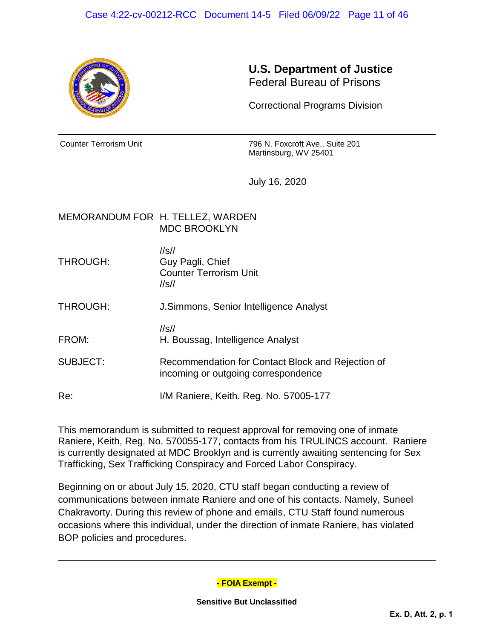

## **U.S. Department of Justice** Federal Bureau of Prisons

Correctional Programs Division

Counter Terrorism Unit 796 N. Foxcroft Ave., Suite 201 Martinsburg, WV 25401

July 16, 2020

## MEMORANDUM FOR H. TELLEZ, WARDEN MDC BROOKLYN

//s// THROUGH: Guy Pagli, Chief Counter Terrorism Unit //s//

THROUGH: J.Simmons, Senior Intelligence Analyst

//s// FROM: H. Boussag, Intelligence Analyst

SUBJECT: Recommendation for Contact Block and Rejection of incoming or outgoing correspondence

Re: I/M Raniere, Keith. Reg. No. 57005-177

This memorandum is submitted to request approval for removing one of inmate Raniere, Keith, Reg. No. 570055-177, contacts from his TRULINCS account. Raniere is currently designated at MDC Brooklyn and is currently awaiting sentencing for Sex Trafficking, Sex Trafficking Conspiracy and Forced Labor Conspiracy.

Beginning on or about July 15, 2020, CTU staff began conducting a review of communications between inmate Raniere and one of his contacts. Namely, Suneel Chakravorty. During this review of phone and emails, CTU Staff found numerous occasions where this individual, under the direction of inmate Raniere, has violated BOP policies and procedures.

**- FOIA Exempt -**

**Sensitive But Unclassified**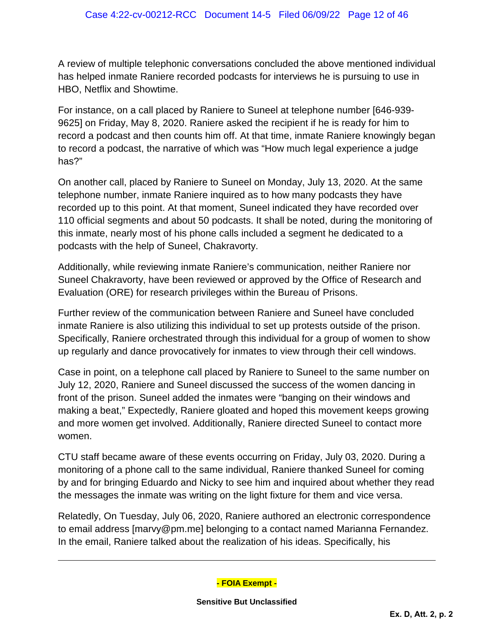A review of multiple telephonic conversations concluded the above mentioned individual has helped inmate Raniere recorded podcasts for interviews he is pursuing to use in HBO, Netflix and Showtime.

For instance, on a call placed by Raniere to Suneel at telephone number [646-939- 9625] on Friday, May 8, 2020. Raniere asked the recipient if he is ready for him to record a podcast and then counts him off. At that time, inmate Raniere knowingly began to record a podcast, the narrative of which was "How much legal experience a judge has?"

On another call, placed by Raniere to Suneel on Monday, July 13, 2020. At the same telephone number, inmate Raniere inquired as to how many podcasts they have recorded up to this point. At that moment, Suneel indicated they have recorded over 110 official segments and about 50 podcasts. It shall be noted, during the monitoring of this inmate, nearly most of his phone calls included a segment he dedicated to a podcasts with the help of Suneel, Chakravorty.

Additionally, while reviewing inmate Raniere's communication, neither Raniere nor Suneel Chakravorty, have been reviewed or approved by the Office of Research and Evaluation (ORE) for research privileges within the Bureau of Prisons.

Further review of the communication between Raniere and Suneel have concluded inmate Raniere is also utilizing this individual to set up protests outside of the prison. Specifically, Raniere orchestrated through this individual for a group of women to show up regularly and dance provocatively for inmates to view through their cell windows.

Case in point, on a telephone call placed by Raniere to Suneel to the same number on July 12, 2020, Raniere and Suneel discussed the success of the women dancing in front of the prison. Suneel added the inmates were "banging on their windows and making a beat," Expectedly, Raniere gloated and hoped this movement keeps growing and more women get involved. Additionally, Raniere directed Suneel to contact more women.

CTU staff became aware of these events occurring on Friday, July 03, 2020. During a monitoring of a phone call to the same individual, Raniere thanked Suneel for coming by and for bringing Eduardo and Nicky to see him and inquired about whether they read the messages the inmate was writing on the light fixture for them and vice versa.

Relatedly, On Tuesday, July 06, 2020, Raniere authored an electronic correspondence to email address [marvy@pm.me] belonging to a contact named Marianna Fernandez. In the email, Raniere talked about the realization of his ideas. Specifically, his

**- FOIA Exempt -**

**Sensitive But Unclassified**